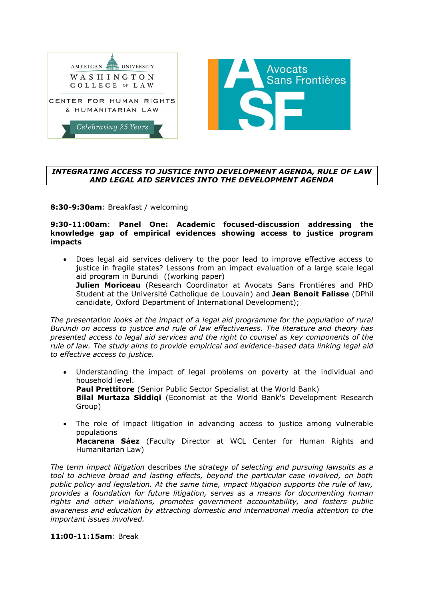

# *INTEGRATING ACCESS TO JUSTICE INTO DEVELOPMENT AGENDA, RULE OF LAW AND LEGAL AID SERVICES INTO THE DEVELOPMENT AGENDA*

**8:30-9:30am**: Breakfast / welcoming

## **9:30-11:00am**: **Panel One: Academic focused-discussion addressing the knowledge gap of empirical evidences showing access to justice program impacts**

 Does legal aid services delivery to the poor lead to improve effective access to justice in fragile states? Lessons from an impact evaluation of a large scale legal aid program in Burundi ((working paper) **Julien Moriceau** (Research Coordinator at Avocats Sans Frontières and PHD Student at the Université Catholique de Louvain) and **Jean Benoit Falisse** (DPhil candidate, Oxford Department of International Development);

*The presentation looks at the impact of a legal aid programme for the population of rural Burundi on access to justice and rule of law effectiveness. The literature and theory has presented access to legal aid services and the right to counsel as key components of the rule of law. The study aims to provide empirical and evidence-based data linking legal aid to effective access to justice.*

 Understanding the impact of legal problems on poverty at the individual and household level. **Paul Prettitore** (Senior Public Sector Specialist at the World Bank) **Bilal Murtaza Siddiqi** (Economist at the World Bank's Development Research

Group)

 The role of impact litigation in advancing access to justice among vulnerable populations **Macarena Sáez** (Faculty Director at WCL Center for Human Rights and

Humanitarian Law)

*The term impact litigation* describes *the strategy of selecting and pursuing lawsuits as a tool to achieve broad and lasting effects, beyond the particular case involved, on both public policy and legislation. At the same time, impact litigation supports the rule of law, provides a foundation for future litigation, serves as a means for documenting human rights and other violations, promotes government accountability, and fosters public awareness and education by attracting domestic and international media attention to the important issues involved.*

# **11:00-11:15am**: Break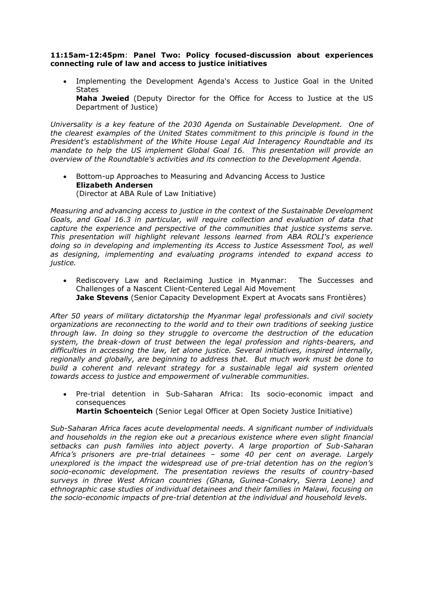## **11:15am-12:45pm**: **Panel Two: Policy focused-discussion about experiences connecting rule of law and access to justice initiatives**

 Implementing the Development Agenda's Access to Justice Goal in the United **States** 

**Maha Jweied** (Deputy Director for the Office for Access to Justice at the US Department of Justice)

*Universality is a key feature of the 2030 Agenda on Sustainable Development. One of the clearest examples of the United States commitment to this principle is found in the President's establishment of the White House Legal Aid Interagency Roundtable and its mandate to help the US implement Global Goal 16. This presentation will provide an overview of the Roundtable's activities and its connection to the Development Agenda*.

 Bottom-up Approaches to Measuring and Advancing Access to Justice **Elizabeth Andersen** (Director at ABA Rule of Law Initiative)

*Measuring and advancing access to justice in the context of the Sustainable Development Goals, and Goal 16.3 in particular, will require collection and evaluation of data that capture the experience and perspective of the communities that justice systems serve. This presentation will highlight relevant lessons learned from ABA ROLI's experience doing so in developing and implementing its Access to Justice Assessment Tool, as well as designing, implementing and evaluating programs intended to expand access to justice.*

 Rediscovery Law and Reclaiming Justice in Myanmar: The Successes and Challenges of a Nascent Client-Centered Legal Aid Movement **Jake Stevens** (Senior Capacity Development Expert at Avocats sans Frontières)

*After 50 years of military dictatorship the Myanmar legal professionals and civil society organizations are reconnecting to the world and to their own traditions of seeking justice through law. In doing so they struggle to overcome the destruction of the education system, the break-down of trust between the legal profession and rights-bearers, and difficulties in accessing the law, let alone justice. Several initiatives, inspired internally, regionally and globally, are beginning to address that. But much work must be done to build a coherent and relevant strategy for a sustainable legal aid system oriented towards access to justice and empowerment of vulnerable communities.* 

- Pre-trial detention in Sub-Saharan Africa: Its socio-economic impact and consequences
	- **Martin Schoenteich** (Senior Legal Officer at Open Society Justice Initiative)

*Sub-Saharan Africa faces acute developmental needs. A significant number of individuals and households in the region eke out a precarious existence where even slight financial setbacks can push families into abject poverty. A large proportion of Sub-Saharan Africa's prisoners are pre-trial detainees – some 40 per cent on average. Largely unexplored is the impact the widespread use of pre-trial detention has on the region's socio-economic development. The presentation reviews the results of country-based surveys in three West African countries (Ghana, Guinea-Conakry, Sierra Leone) and ethnographic case studies of individual detainees and their families in Malawi, focusing on the socio-economic impacts of pre-trial detention at the individual and household levels.*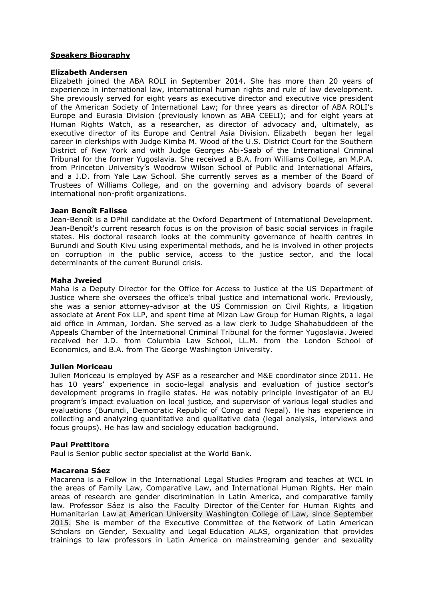# **Speakers Biography**

## **Elizabeth Andersen**

Elizabeth joined the ABA ROLI in September 2014. She has more than 20 years of experience in international law, international human rights and rule of law development. She previously served for eight years as executive director and executive vice president of the American Society of International Law; for three years as director of ABA ROLI's Europe and Eurasia Division (previously known as ABA CEELI); and for eight years at Human Rights Watch, as a researcher, as director of advocacy and, ultimately, as executive director of its Europe and Central Asia Division. Elizabeth began her legal career in clerkships with Judge Kimba M. Wood of the U.S. District Court for the Southern District of New York and with Judge Georges Abi-Saab of the International Criminal Tribunal for the former Yugoslavia. She received a B.A. from Williams College, an M.P.A. from Princeton University's Woodrow Wilson School of Public and International Affairs, and a J.D. from Yale Law School. She currently serves as a member of the Board of Trustees of Williams College, and on the governing and advisory boards of several international non-profit organizations.

## **Jean Benoît Falisse**

Jean-Benoît is a DPhil candidate at the Oxford Department of International Development. Jean-Benoît's current research focus is on the provision of basic social services in fragile states. His doctoral research looks at the community governance of health centres in Burundi and South Kivu using experimental methods, and he is involved in other projects on corruption in the public service, access to the justice sector, and the local determinants of the current Burundi crisis.

## **Maha Jweied**

Maha is a Deputy Director for the Office for Access to Justice at the US Department of Justice where she oversees the office's tribal justice and international work. Previously, she was a senior attorney-advisor at the US Commission on Civil Rights, a litigation associate at Arent Fox LLP, and spent time at Mizan Law Group for Human Rights, a legal aid office in Amman, Jordan. She served as a law clerk to Judge Shahabuddeen of the Appeals Chamber of the International Criminal Tribunal for the former Yugoslavia. Jweied received her J.D. from Columbia Law School, LL.M. from the London School of Economics, and B.A. from The George Washington University.

#### **Julien Moriceau**

Julien Moriceau is employed by ASF as a researcher and M&E coordinator since 2011. He has 10 years' experience in socio-legal analysis and evaluation of justice sector's development programs in fragile states. He was notably principle investigator of an EU program's impact evaluation on local justice, and supervisor of various legal studies and evaluations (Burundi, Democratic Republic of Congo and Nepal). He has experience in collecting and analyzing quantitative and qualitative data (legal analysis, interviews and focus groups). He has law and sociology education background.

#### **Paul Prettitore**

Paul is Senior public sector specialist at the World Bank.

#### **Macarena Sáez**

Macarena is a Fellow in the International Legal Studies Program and teaches at WCL in the areas of Family Law, Comparative Law, and International Human Rights. Her main areas of research are gender discrimination in Latin America, and comparative family law. Professor Sáez is also the Faculty Director of the [Center for Human Rights and](https://www.wcl.american.edu/humright/center/)  [Humanitarian Law](https://www.wcl.american.edu/humright/center/) at American University Washington College of Law, since September 2015. She is member of the Executive Committee of the [Network of Latin American](http://www.redalas.net/)  [Scholars on Gender, Sexuality and Legal](http://www.redalas.net/) Education ALAS, organization that provides trainings to law professors in Latin America on mainstreaming gender and sexuality